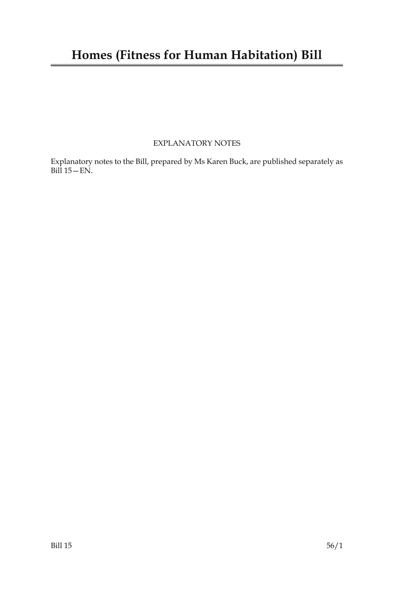### EXPLANATORY NOTES

Explanatory notes to the Bill, prepared by Ms Karen Buck, are published separately as Bill 15—EN.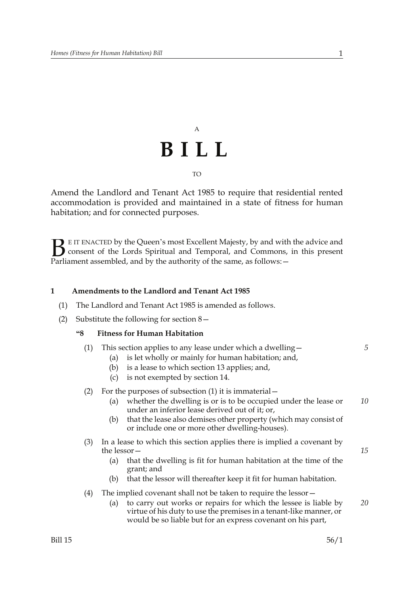## A **BILL** TO

Amend the Landlord and Tenant Act 1985 to require that residential rented accommodation is provided and maintained in a state of fitness for human habitation; and for connected purposes.

E IT ENACTED by the Queen's most Excellent Majesty, by and with the advice and consent of the Lords Spiritual and Temporal, and Commons, in this present Parliament assembled, and by the authority of the same, as follows: - $B<sub>parti</sub>$ 

#### **1 Amendments to the Landlord and Tenant Act 1985**

- (1) The Landlord and Tenant Act 1985 is amended as follows.
- (2) Substitute the following for section 8—

#### **"8 Fitness for Human Habitation**

- (1) This section applies to any lease under which a dwelling—
	- (a) is let wholly or mainly for human habitation; and,
	- (b) is a lease to which section 13 applies; and,
	- (c) is not exempted by section 14.

#### (2) For the purposes of subsection (1) it is immaterial—

- (a) whether the dwelling is or is to be occupied under the lease or under an inferior lease derived out of it; or, *10*
- (b) that the lease also demises other property (which may consist of or include one or more other dwelling-houses).
- (3) In a lease to which this section applies there is implied a covenant by the lessor—
	- (a) that the dwelling is fit for human habitation at the time of the grant; and
	- (b) that the lessor will thereafter keep it fit for human habitation.
- (4) The implied covenant shall not be taken to require the lessor—
	- (a) to carry out works or repairs for which the lessee is liable by virtue of his duty to use the premises in a tenant-like manner, or would be so liable but for an express covenant on his part, *20*

*5*

*15*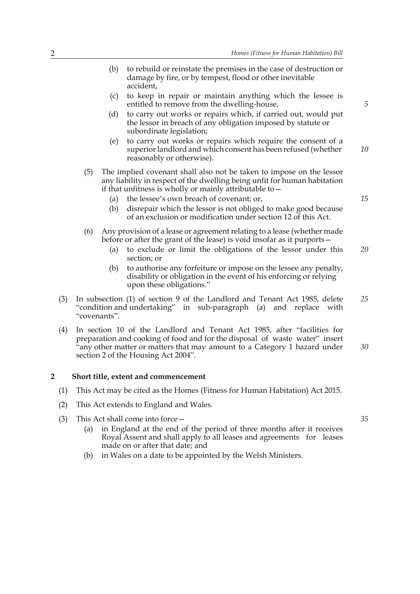- (b) to rebuild or reinstate the premises in the case of destruction or damage by fire, or by tempest, flood or other inevitable accident,
- (c) to keep in repair or maintain anything which the lessee is entitled to remove from the dwelling-house,
- (d) to carry out works or repairs which, if carried out, would put the lessor in breach of any obligation imposed by statute or subordinate legislation;
- (e) to carry out works or repairs which require the consent of a superior landlord and which consent has been refused (whether reasonably or otherwise). *10*
- (5) The implied covenant shall also not be taken to impose on the lessor any liability in respect of the dwelling being unfit for human habitation if that unfitness is wholly or mainly attributable to—
	- (a) the lessee's own breach of covenant; or,
	- (b) disrepair which the lessor is not obliged to make good because of an exclusion or modification under section 12 of this Act.
- (6) Any provision of a lease or agreement relating to a lease (whether made before or after the grant of the lease) is void insofar as it purports—
	- (a) to exclude or limit the obligations of the lessor under this section; or *20*
	- (b) to authorise any forfeiture or impose on the lessee any penalty, disability or obligation in the event of his enforcing or relying upon these obligations."
- (3) In subsection (1) of section 9 of the Landlord and Tenant Act 1985, delete "condition and undertaking" in sub-paragraph (a) and replace with "covenants". *25*
- (4) In section 10 of the Landlord and Tenant Act 1985, after "facilities for preparation and cooking of food and for the disposal of waste water" insert "any other matter or matters that may amount to a Category 1 hazard under section 2 of the Housing Act 2004". *30*

#### **2 Short title, extent and commencement**

- (1) This Act may be cited as the Homes (Fitness for Human Habitation) Act 2015.
- (2) This Act extends to England and Wales.
- (3) This Act shall come into force—
	- (a) in England at the end of the period of three months after it receives Royal Assent and shall apply to all leases and agreements for leases made on or after that date; and
	- (b) in Wales on a date to be appointed by the Welsh Ministers.

*15*

*5*

*35*